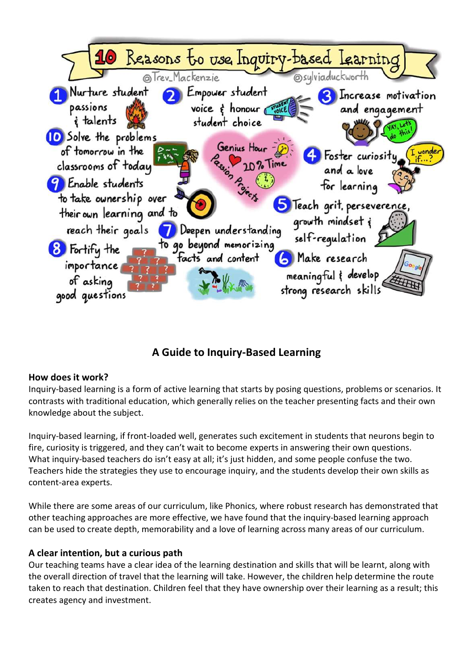

# A Guide to Inquiry-Based Learning

#### How does it work?

Inquiry-based learning is a form of active learning that starts by posing questions, problems or scenarios. It contrasts with traditional education, which generally relies on the teacher presenting facts and their own knowledge about the subject.

Inquiry-based learning, if front-loaded well, generates such excitement in students that neurons begin to fire, curiosity is triggered, and they can't wait to become experts in answering their own questions. What inquiry-based teachers do isn't easy at all; it's just hidden, and some people confuse the two. Teachers hide the strategies they use to encourage inquiry, and the students develop their own skills as content-area experts.

While there are some areas of our curriculum, like Phonics, where robust research has demonstrated that other teaching approaches are more effective, we have found that the inquiry-based learning approach can be used to create depth, memorability and a love of learning across many areas of our curriculum.

## A clear intention, but a curious path

Our teaching teams have a clear idea of the learning destination and skills that will be learnt, along with the overall direction of travel that the learning will take. However, the children help determine the route taken to reach that destination. Children feel that they have ownership over their learning as a result; this creates agency and investment.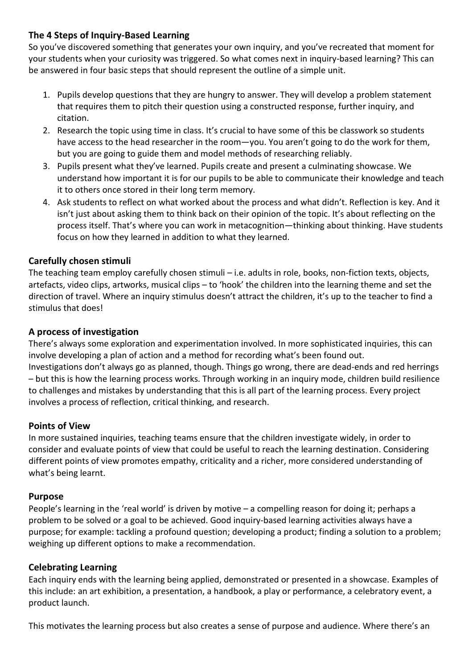## The 4 Steps of Inquiry-Based Learning

So you've discovered something that generates your own inquiry, and you've recreated that moment for your students when your curiosity was triggered. So what comes next in inquiry-based learning? This can be answered in four basic steps that should represent the outline of a simple unit.

- 1. Pupils develop questions that they are hungry to answer. They will develop a problem statement that requires them to pitch their question using a constructed response, further inquiry, and citation.
- 2. Research the topic using time in class. It's crucial to have some of this be classwork so students have access to the head researcher in the room—you. You aren't going to do the work for them, but you are going to guide them and model methods of researching reliably.
- 3. Pupils present what they've learned. Pupils create and present a culminating showcase. We understand how important it is for our pupils to be able to communicate their knowledge and teach it to others once stored in their long term memory.
- 4. Ask students to reflect on what worked about the process and what didn't. Reflection is key. And it isn't just about asking them to think back on their opinion of the topic. It's about reflecting on the process itself. That's where you can work in metacognition—thinking about thinking. Have students focus on how they learned in addition to what they learned.

## Carefully chosen stimuli

The teaching team employ carefully chosen stimuli – i.e. adults in role, books, non-fiction texts, objects, artefacts, video clips, artworks, musical clips – to 'hook' the children into the learning theme and set the direction of travel. Where an inquiry stimulus doesn't attract the children, it's up to the teacher to find a stimulus that does!

## A process of investigation

There's always some exploration and experimentation involved. In more sophisticated inquiries, this can involve developing a plan of action and a method for recording what's been found out. Investigations don't always go as planned, though. Things go wrong, there are dead-ends and red herrings – but this is how the learning process works. Through working in an inquiry mode, children build resilience to challenges and mistakes by understanding that this is all part of the learning process. Every project involves a process of reflection, critical thinking, and research.

## Points of View

In more sustained inquiries, teaching teams ensure that the children investigate widely, in order to consider and evaluate points of view that could be useful to reach the learning destination. Considering different points of view promotes empathy, criticality and a richer, more considered understanding of what's being learnt.

## Purpose

People's learning in the 'real world' is driven by motive – a compelling reason for doing it; perhaps a problem to be solved or a goal to be achieved. Good inquiry-based learning activities always have a purpose; for example: tackling a profound question; developing a product; finding a solution to a problem; weighing up different options to make a recommendation.

## Celebrating Learning

Each inquiry ends with the learning being applied, demonstrated or presented in a showcase. Examples of this include: an art exhibition, a presentation, a handbook, a play or performance, a celebratory event, a product launch.

This motivates the learning process but also creates a sense of purpose and audience. Where there's an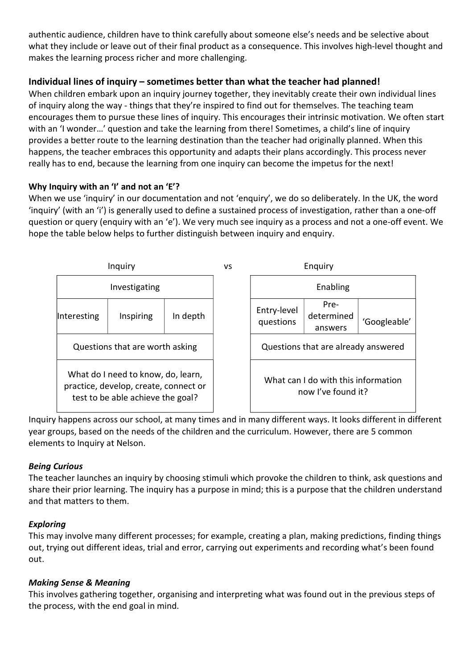authentic audience, children have to think carefully about someone else's needs and be selective about what they include or leave out of their final product as a consequence. This involves high-level thought and makes the learning process richer and more challenging.

# Individual lines of inquiry – sometimes better than what the teacher had planned!

When children embark upon an inquiry journey together, they inevitably create their own individual lines of inquiry along the way - things that they're inspired to find out for themselves. The teaching team encourages them to pursue these lines of inquiry. This encourages their intrinsic motivation. We often start with an 'I wonder...' question and take the learning from there! Sometimes, a child's line of inquiry provides a better route to the learning destination than the teacher had originally planned. When this happens, the teacher embraces this opportunity and adapts their plans accordingly. This process never really has to end, because the learning from one inquiry can become the impetus for the next!

#### Why Inquiry with an 'I' and not an 'E'?

When we use 'inquiry' in our documentation and not 'enquiry', we do so deliberately. In the UK, the word 'inquiry' (with an 'i') is generally used to define a sustained process of investigation, rather than a one-off question or query (enquiry with an 'e'). We very much see inquiry as a process and not a one-off event. We hope the table below helps to further distinguish between inquiry and enquiry.



Inquiry happens across our school, at many times and in many different ways. It looks different in different year groups, based on the needs of the children and the curriculum. However, there are 5 common elements to Inquiry at Nelson.

## Being Curious

The teacher launches an inquiry by choosing stimuli which provoke the children to think, ask questions and share their prior learning. The inquiry has a purpose in mind; this is a purpose that the children understand and that matters to them.

## Exploring

This may involve many different processes; for example, creating a plan, making predictions, finding things out, trying out different ideas, trial and error, carrying out experiments and recording what's been found out.

#### Making Sense & Meaning

This involves gathering together, organising and interpreting what was found out in the previous steps of the process, with the end goal in mind.